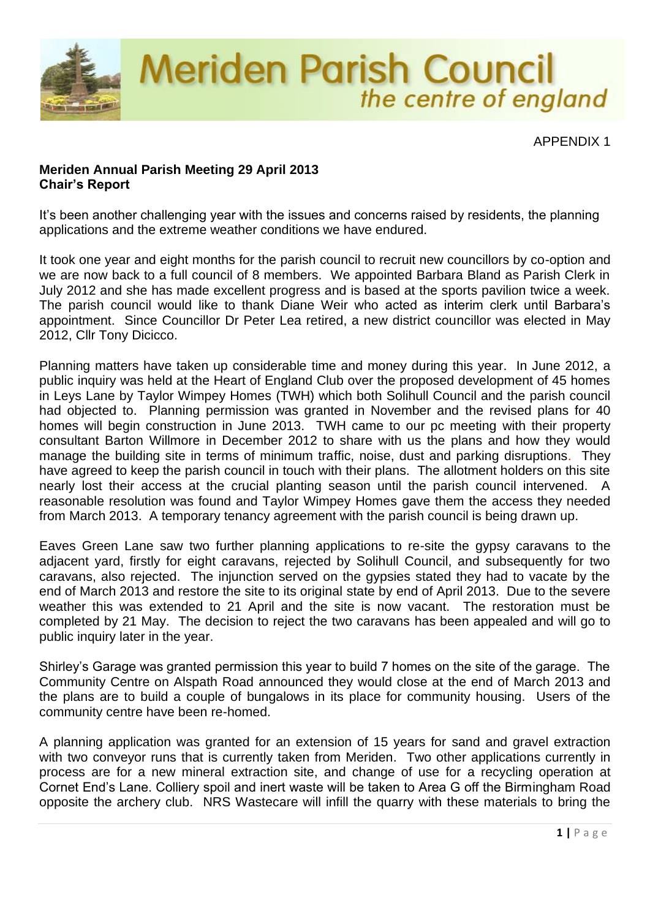

## **Meriden Annual Parish Meeting 29 April 2013 Chair's Report**

It's been another challenging year with the issues and concerns raised by residents, the planning applications and the extreme weather conditions we have endured.

It took one year and eight months for the parish council to recruit new councillors by co-option and we are now back to a full council of 8 members. We appointed Barbara Bland as Parish Clerk in July 2012 and she has made excellent progress and is based at the sports pavilion twice a week. The parish council would like to thank Diane Weir who acted as interim clerk until Barbara's appointment. Since Councillor Dr Peter Lea retired, a new district councillor was elected in May 2012, Cllr Tony Dicicco.

Planning matters have taken up considerable time and money during this year. In June 2012, a public inquiry was held at the Heart of England Club over the proposed development of 45 homes in Leys Lane by Taylor Wimpey Homes (TWH) which both Solihull Council and the parish council had objected to. Planning permission was granted in November and the revised plans for 40 homes will begin construction in June 2013. TWH came to our pc meeting with their property consultant Barton Willmore in December 2012 to share with us the plans and how they would manage the building site in terms of minimum traffic, noise, dust and parking disruptions. They have agreed to keep the parish council in touch with their plans. The allotment holders on this site nearly lost their access at the crucial planting season until the parish council intervened. A reasonable resolution was found and Taylor Wimpey Homes gave them the access they needed from March 2013. A temporary tenancy agreement with the parish council is being drawn up.

Eaves Green Lane saw two further planning applications to re-site the gypsy caravans to the adjacent yard, firstly for eight caravans, rejected by Solihull Council, and subsequently for two caravans, also rejected. The injunction served on the gypsies stated they had to vacate by the end of March 2013 and restore the site to its original state by end of April 2013. Due to the severe weather this was extended to 21 April and the site is now vacant. The restoration must be completed by 21 May. The decision to reject the two caravans has been appealed and will go to public inquiry later in the year.

Shirley's Garage was granted permission this year to build 7 homes on the site of the garage. The Community Centre on Alspath Road announced they would close at the end of March 2013 and the plans are to build a couple of bungalows in its place for community housing. Users of the community centre have been re-homed.

A planning application was granted for an extension of 15 years for sand and gravel extraction with two conveyor runs that is currently taken from Meriden. Two other applications currently in process are for a new mineral extraction site, and change of use for a recycling operation at Cornet End's Lane. Colliery spoil and inert waste will be taken to Area G off the Birmingham Road opposite the archery club. NRS Wastecare will infill the quarry with these materials to bring the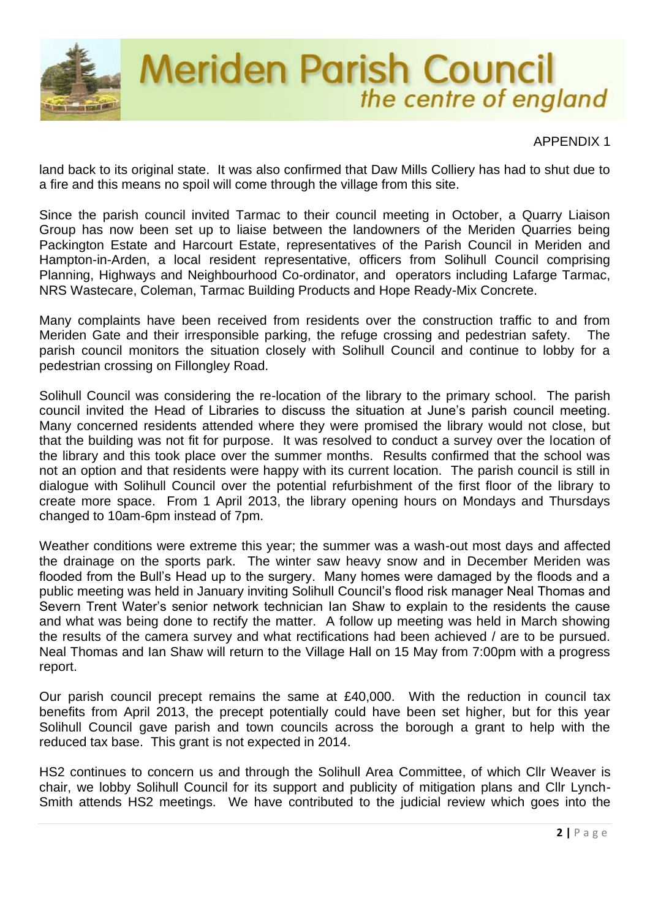

land back to its original state. It was also confirmed that Daw Mills Colliery has had to shut due to a fire and this means no spoil will come through the village from this site.

Since the parish council invited Tarmac to their council meeting in October, a Quarry Liaison Group has now been set up to liaise between the landowners of the Meriden Quarries being Packington Estate and Harcourt Estate, representatives of the Parish Council in Meriden and Hampton-in-Arden, a local resident representative, officers from Solihull Council comprising Planning, Highways and Neighbourhood Co-ordinator, and operators including Lafarge Tarmac, NRS Wastecare, Coleman, Tarmac Building Products and Hope Ready-Mix Concrete.

Many complaints have been received from residents over the construction traffic to and from Meriden Gate and their irresponsible parking, the refuge crossing and pedestrian safety. The parish council monitors the situation closely with Solihull Council and continue to lobby for a pedestrian crossing on Fillongley Road.

Solihull Council was considering the re-location of the library to the primary school. The parish council invited the Head of Libraries to discuss the situation at June's parish council meeting. Many concerned residents attended where they were promised the library would not close, but that the building was not fit for purpose. It was resolved to conduct a survey over the location of the library and this took place over the summer months. Results confirmed that the school was not an option and that residents were happy with its current location. The parish council is still in dialogue with Solihull Council over the potential refurbishment of the first floor of the library to create more space. From 1 April 2013, the library opening hours on Mondays and Thursdays changed to 10am-6pm instead of 7pm.

Weather conditions were extreme this year; the summer was a wash-out most days and affected the drainage on the sports park. The winter saw heavy snow and in December Meriden was flooded from the Bull's Head up to the surgery. Many homes were damaged by the floods and a public meeting was held in January inviting Solihull Council's flood risk manager Neal Thomas and Severn Trent Water's senior network technician Ian Shaw to explain to the residents the cause and what was being done to rectify the matter. A follow up meeting was held in March showing the results of the camera survey and what rectifications had been achieved / are to be pursued. Neal Thomas and Ian Shaw will return to the Village Hall on 15 May from 7:00pm with a progress report.

Our parish council precept remains the same at £40,000. With the reduction in council tax benefits from April 2013, the precept potentially could have been set higher, but for this year Solihull Council gave parish and town councils across the borough a grant to help with the reduced tax base. This grant is not expected in 2014.

HS2 continues to concern us and through the Solihull Area Committee, of which Cllr Weaver is chair, we lobby Solihull Council for its support and publicity of mitigation plans and Cllr Lynch-Smith attends HS2 meetings. We have contributed to the judicial review which goes into the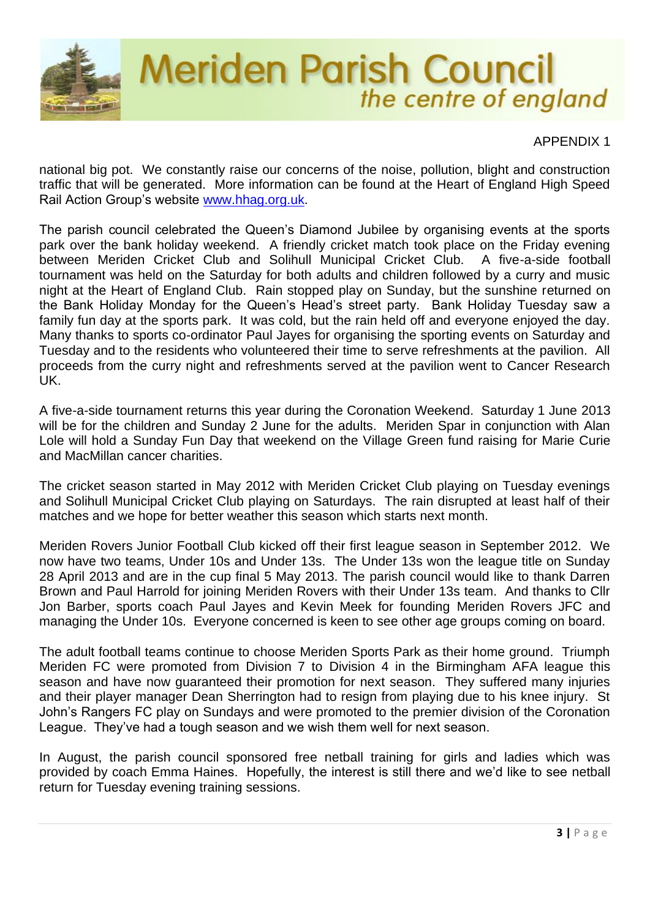

national big pot. We constantly raise our concerns of the noise, pollution, blight and construction traffic that will be generated. More information can be found at the Heart of England High Speed Rail Action Group's website [www.hhag.org.uk.](http://www.hhag.org.uk/)

The parish council celebrated the Queen's Diamond Jubilee by organising events at the sports park over the bank holiday weekend. A friendly cricket match took place on the Friday evening between Meriden Cricket Club and Solihull Municipal Cricket Club. A five-a-side football tournament was held on the Saturday for both adults and children followed by a curry and music night at the Heart of England Club. Rain stopped play on Sunday, but the sunshine returned on the Bank Holiday Monday for the Queen's Head's street party. Bank Holiday Tuesday saw a family fun day at the sports park. It was cold, but the rain held off and everyone enjoyed the day. Many thanks to sports co-ordinator Paul Jayes for organising the sporting events on Saturday and Tuesday and to the residents who volunteered their time to serve refreshments at the pavilion. All proceeds from the curry night and refreshments served at the pavilion went to Cancer Research UK.

A five-a-side tournament returns this year during the Coronation Weekend. Saturday 1 June 2013 will be for the children and Sunday 2 June for the adults. Meriden Spar in conjunction with Alan Lole will hold a Sunday Fun Day that weekend on the Village Green fund raising for Marie Curie and MacMillan cancer charities.

The cricket season started in May 2012 with Meriden Cricket Club playing on Tuesday evenings and Solihull Municipal Cricket Club playing on Saturdays. The rain disrupted at least half of their matches and we hope for better weather this season which starts next month.

Meriden Rovers Junior Football Club kicked off their first league season in September 2012. We now have two teams, Under 10s and Under 13s. The Under 13s won the league title on Sunday 28 April 2013 and are in the cup final 5 May 2013. The parish council would like to thank Darren Brown and Paul Harrold for joining Meriden Rovers with their Under 13s team. And thanks to Cllr Jon Barber, sports coach Paul Jayes and Kevin Meek for founding Meriden Rovers JFC and managing the Under 10s. Everyone concerned is keen to see other age groups coming on board.

The adult football teams continue to choose Meriden Sports Park as their home ground. Triumph Meriden FC were promoted from Division 7 to Division 4 in the Birmingham AFA league this season and have now guaranteed their promotion for next season. They suffered many injuries and their player manager Dean Sherrington had to resign from playing due to his knee injury. St John's Rangers FC play on Sundays and were promoted to the premier division of the Coronation League. They've had a tough season and we wish them well for next season.

In August, the parish council sponsored free netball training for girls and ladies which was provided by coach Emma Haines. Hopefully, the interest is still there and we'd like to see netball return for Tuesday evening training sessions.